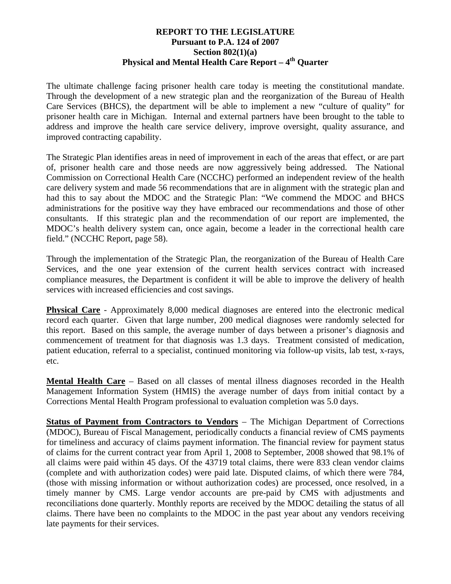## **REPORT TO THE LEGISLATURE Pursuant to P.A. 124 of 2007 Section 802(1)(a) Physical and Mental Health Care Report – 4th Quarter**

The ultimate challenge facing prisoner health care today is meeting the constitutional mandate. Through the development of a new strategic plan and the reorganization of the Bureau of Health Care Services (BHCS), the department will be able to implement a new "culture of quality" for prisoner health care in Michigan. Internal and external partners have been brought to the table to address and improve the health care service delivery, improve oversight, quality assurance, and improved contracting capability.

The Strategic Plan identifies areas in need of improvement in each of the areas that effect, or are part of, prisoner health care and those needs are now aggressively being addressed. The National Commission on Correctional Health Care (NCCHC) performed an independent review of the health care delivery system and made 56 recommendations that are in alignment with the strategic plan and had this to say about the MDOC and the Strategic Plan: "We commend the MDOC and BHCS administrations for the positive way they have embraced our recommendations and those of other consultants. If this strategic plan and the recommendation of our report are implemented, the MDOC's health delivery system can, once again, become a leader in the correctional health care field." (NCCHC Report, page 58).

Through the implementation of the Strategic Plan, the reorganization of the Bureau of Health Care Services, and the one year extension of the current health services contract with increased compliance measures, the Department is confident it will be able to improve the delivery of health services with increased efficiencies and cost savings.

**Physical Care** - Approximately 8,000 medical diagnoses are entered into the electronic medical record each quarter. Given that large number, 200 medical diagnoses were randomly selected for this report. Based on this sample, the average number of days between a prisoner's diagnosis and commencement of treatment for that diagnosis was 1.3 days. Treatment consisted of medication, patient education, referral to a specialist, continued monitoring via follow-up visits, lab test, x-rays, etc.

**Mental Health Care** – Based on all classes of mental illness diagnoses recorded in the Health Management Information System (HMIS) the average number of days from initial contact by a Corrections Mental Health Program professional to evaluation completion was 5.0 days.

**Status of Payment from Contractors to Vendors** – The Michigan Department of Corrections (MDOC), Bureau of Fiscal Management, periodically conducts a financial review of CMS payments for timeliness and accuracy of claims payment information. The financial review for payment status of claims for the current contract year from April 1, 2008 to September, 2008 showed that 98.1% of all claims were paid within 45 days. Of the 43719 total claims, there were 833 clean vendor claims (complete and with authorization codes) were paid late. Disputed claims, of which there were 784, (those with missing information or without authorization codes) are processed, once resolved, in a timely manner by CMS. Large vendor accounts are pre-paid by CMS with adjustments and reconciliations done quarterly. Monthly reports are received by the MDOC detailing the status of all claims. There have been no complaints to the MDOC in the past year about any vendors receiving late payments for their services.